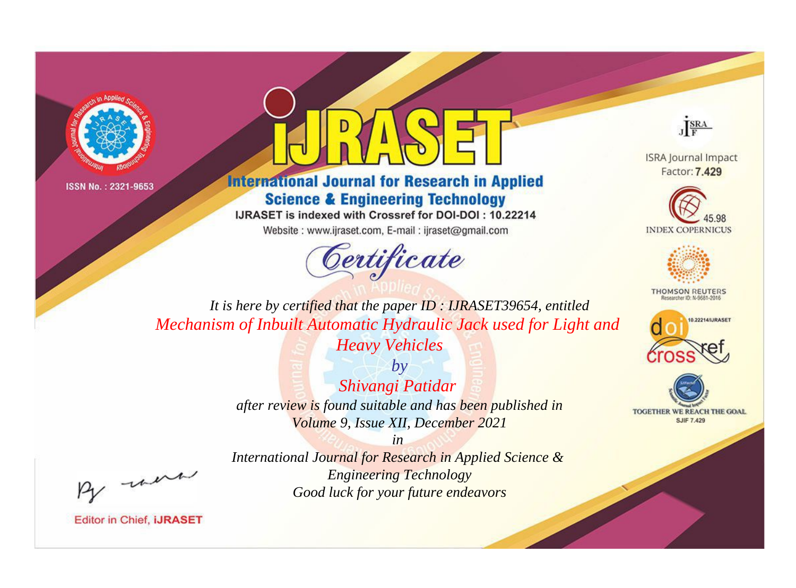



**International Journal for Research in Applied Science & Engineering Technology** 

IJRASET is indexed with Crossref for DOI-DOI: 10.22214

Website: www.ijraset.com, E-mail: ijraset@gmail.com



JERA

**ISRA Journal Impact** Factor: 7.429





**THOMSON REUTERS** 



TOGETHER WE REACH THE GOAL **SJIF 7.429** 

It is here by certified that the paper ID: IJRASET39654, entitled Mechanism of Inbuilt Automatic Hydraulic Jack used for Light and **Heavy Vehicles** 

> $by$ Shivangi Patidar after review is found suitable and has been published in Volume 9, Issue XII, December 2021

were

International Journal for Research in Applied Science & **Engineering Technology** Good luck for your future endeavors

 $in$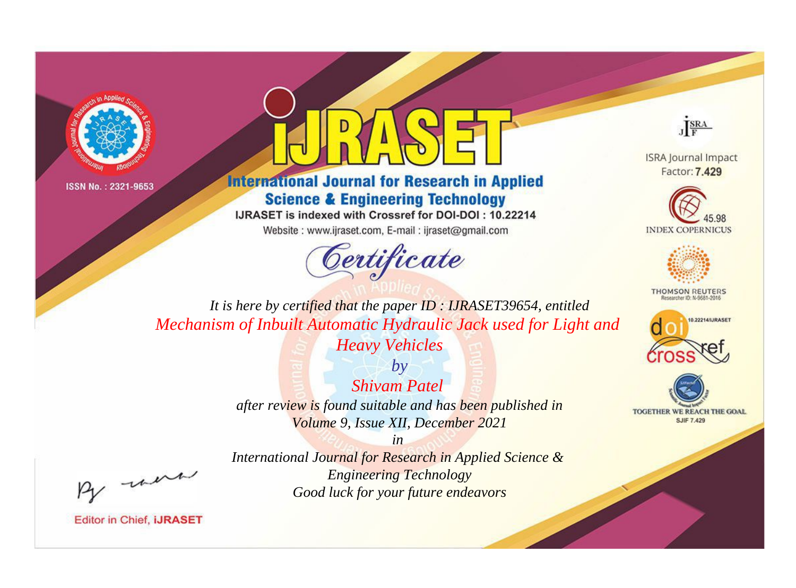



**International Journal for Research in Applied Science & Engineering Technology** 

IJRASET is indexed with Crossref for DOI-DOI: 10.22214

Website: www.ijraset.com, E-mail: ijraset@gmail.com



JERA

**ISRA Journal Impact** Factor: 7.429





**THOMSON REUTERS** 



TOGETHER WE REACH THE GOAL **SJIF 7.429** 

*It is here by certified that the paper ID : IJRASET39654, entitled Mechanism of Inbuilt Automatic Hydraulic Jack used for Light and* 

*Heavy Vehicles by*

*Shivam Patel after review is found suitable and has been published in Volume 9, Issue XII, December 2021*

*in International Journal for Research in Applied Science & Engineering Technology Good luck for your future endeavors*

, un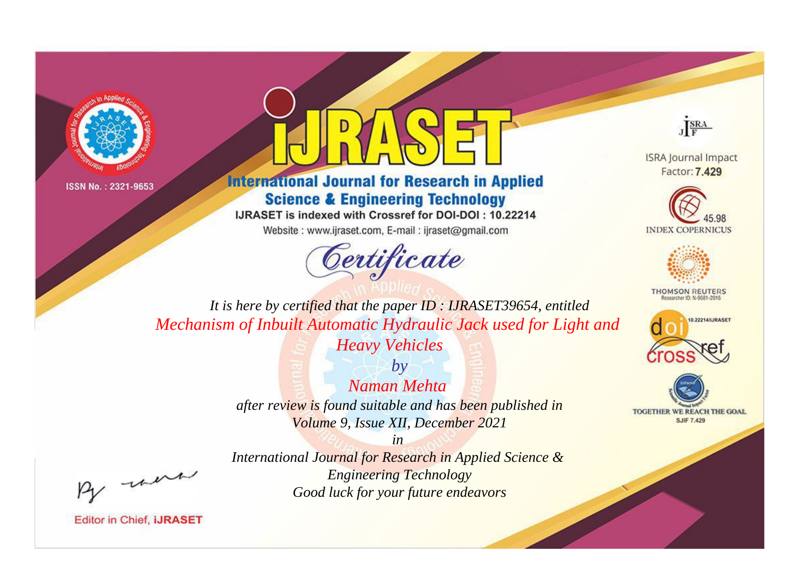



**International Journal for Research in Applied Science & Engineering Technology** 

IJRASET is indexed with Crossref for DOI-DOI: 10.22214

Website: www.ijraset.com, E-mail: ijraset@gmail.com



JERA

**ISRA Journal Impact** Factor: 7.429





**THOMSON REUTERS** 



TOGETHER WE REACH THE GOAL **SJIF 7.429** 

It is here by certified that the paper ID: IJRASET39654, entitled Mechanism of Inbuilt Automatic Hydraulic Jack used for Light and **Heavy Vehicles** 

> $b\nu$ Naman Mehta after review is found suitable and has been published in Volume 9, Issue XII, December 2021

were

International Journal for Research in Applied Science & **Engineering Technology** Good luck for your future endeavors

 $in$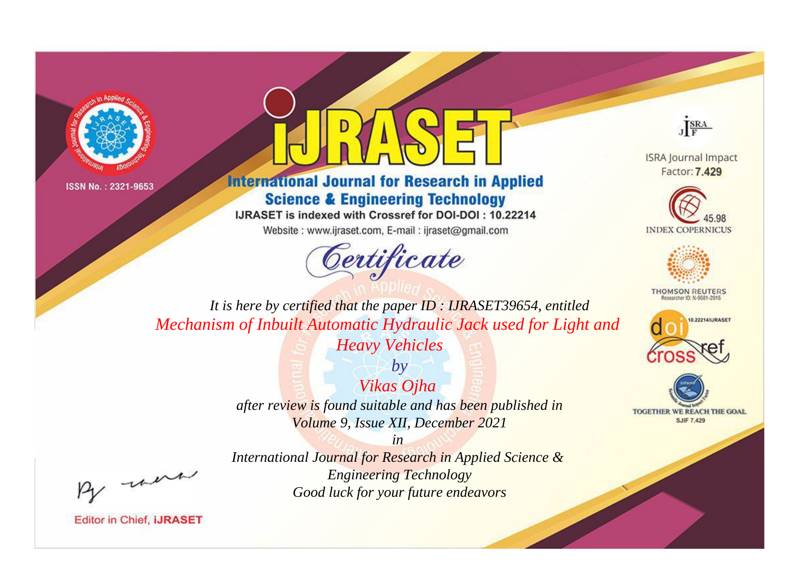



**International Journal for Research in Applied Science & Engineering Technology** 

IJRASET is indexed with Crossref for DOI-DOI: 10.22214

Website: www.ijraset.com, E-mail: ijraset@gmail.com



JERA

**ISRA Journal Impact** Factor: 7.429





**THOMSON REUTERS** 



TOGETHER WE REACH THE GOAL **SJIF 7.429** 

*It is here by certified that the paper ID : IJRASET39654, entitled Mechanism of Inbuilt Automatic Hydraulic Jack used for Light and* 

*Heavy Vehicles by*

*Vikas Ojha after review is found suitable and has been published in Volume 9, Issue XII, December 2021*

*in* 

*International Journal for Research in Applied Science & Engineering Technology Good luck for your future endeavors*

, un